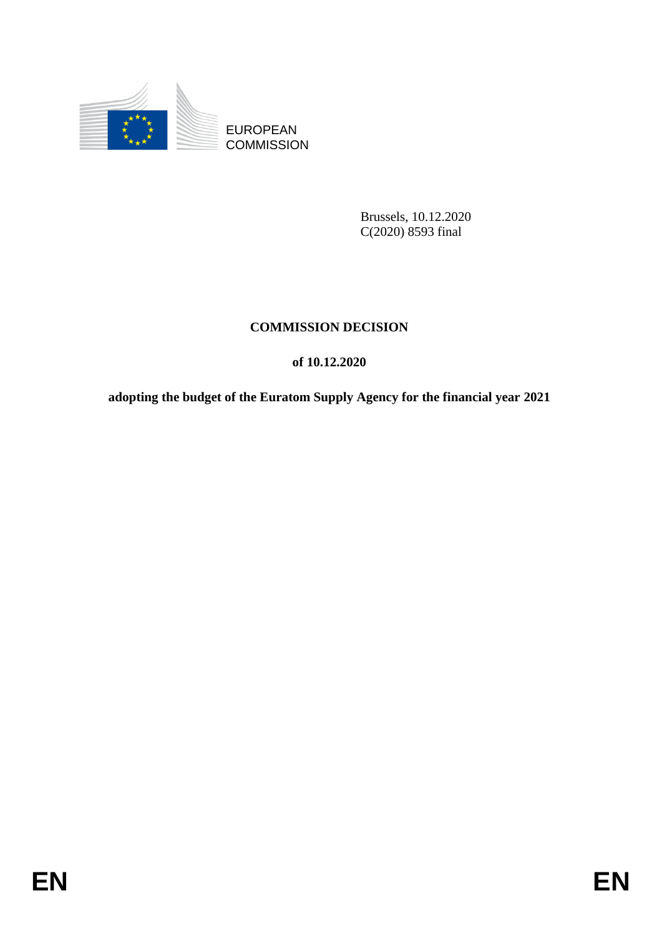

**COMMISSION** 

Brussels, 10.12.2020 C(2020) 8593 final

### **COMMISSION DECISION**

### **of 10.12.2020**

EUROPEAN<br>
EUROPEAN<br>
ENTRE COMMISSION<br>
Princes 1, 10, 12, 2020<br>
C(2020) 8595 .<br>
ENTRE COMMISSION<br>
COMMISSION<br>
OF 10,12,2020<br>
Adopting the budget of the Euratom Supply Agency for the fhancial year 2021<br>
Adopting the budget o **adopting the budget of the Euratom Supply Agency for the financial year 2021**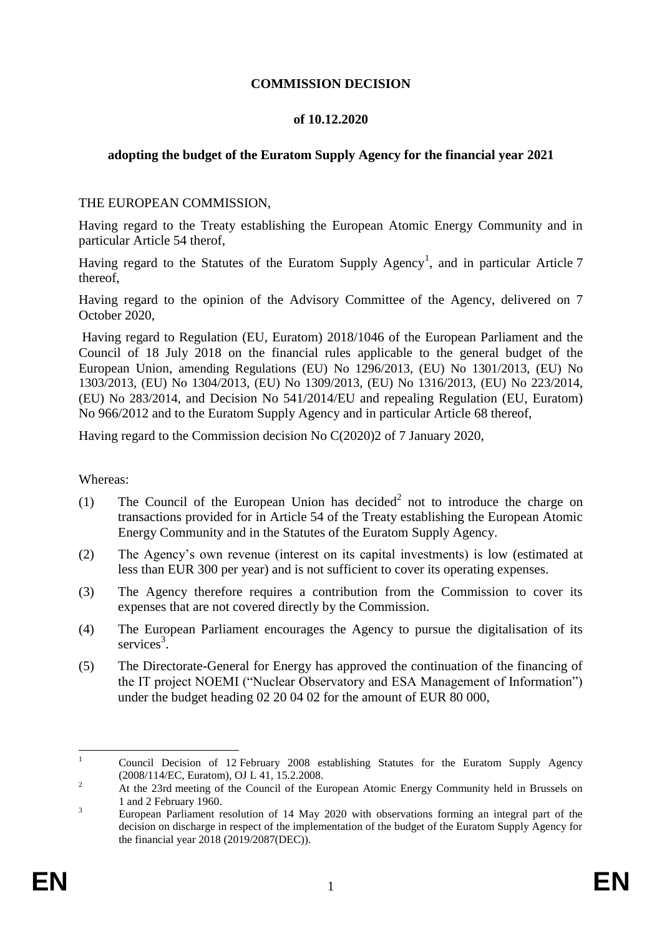#### **COMMISSION DECISION**

#### **of 10.12.2020**

#### **adopting the budget of the Euratom Supply Agency for the financial year 2021**

#### THE EUROPEAN COMMISSION,

Having regard to the Treaty establishing the European Atomic Energy Community and in particular Article 54 therof,

Having regard to the Statutes of the Euratom Supply Agency<sup>1</sup>, and in particular Article 7 thereof,

Having regard to the opinion of the Advisory Committee of the Agency, delivered on 7 October 2020,

Having regard to Regulation (EU, Euratom) 2018/1046 of the European Parliament and the Council of 18 July 2018 on the financial rules applicable to the general budget of the European Union, amending Regulations (EU) No 1296/2013, (EU) No 1301/2013, (EU) No 1303/2013, (EU) No 1304/2013, (EU) No 1309/2013, (EU) No 1316/2013, (EU) No 223/2014, (EU) No 283/2014, and Decision No 541/2014/EU and repealing Regulation (EU, Euratom) No 966/2012 and to the Euratom Supply Agency and in particular Article 68 thereof,

Having regard to the Commission decision No C(2020)2 of 7 January 2020,

Whereas:

- (1) The Council of the European Union has decided<sup>2</sup> not to introduce the charge on transactions provided for in Article 54 of the Treaty establishing the European Atomic Energy Community and in the Statutes of the Euratom Supply Agency.
- (2) The Agency's own revenue (interest on its capital investments) is low (estimated at less than EUR 300 per year) and is not sufficient to cover its operating expenses.
- (3) The Agency therefore requires a contribution from the Commission to cover its expenses that are not covered directly by the Commission.
- (4) The European Parliament encourages the Agency to pursue the digitalisation of its services<sup>3</sup>.
- (5) The Directorate-General for Energy has approved the continuation of the financing of the IT project NOEMI ("Nuclear Observatory and ESA Management of Information") under the budget heading 02 20 04 02 for the amount of EUR 80 000,

 $\mathbf{1}$ <sup>1</sup> Council Decision of 12 February 2008 establishing Statutes for the Euratom Supply Agency (2008/114/EC, Euratom), OJ L 41, 15.2.2008.

<sup>&</sup>lt;sup>2</sup> At the 23rd meeting of the Council of the European Atomic Energy Community held in Brussels on 1 and 2 February 1960.

<sup>3</sup> European Parliament resolution of 14 May 2020 with observations forming an integral part of the decision on discharge in respect of the implementation of the budget of the Euratom Supply Agency for the financial year 2018 [\(2019/2087\(DEC\)\).](https://www.europarl.europa.eu/doceo/document/TA-9-2020-0104_EN.html#title3)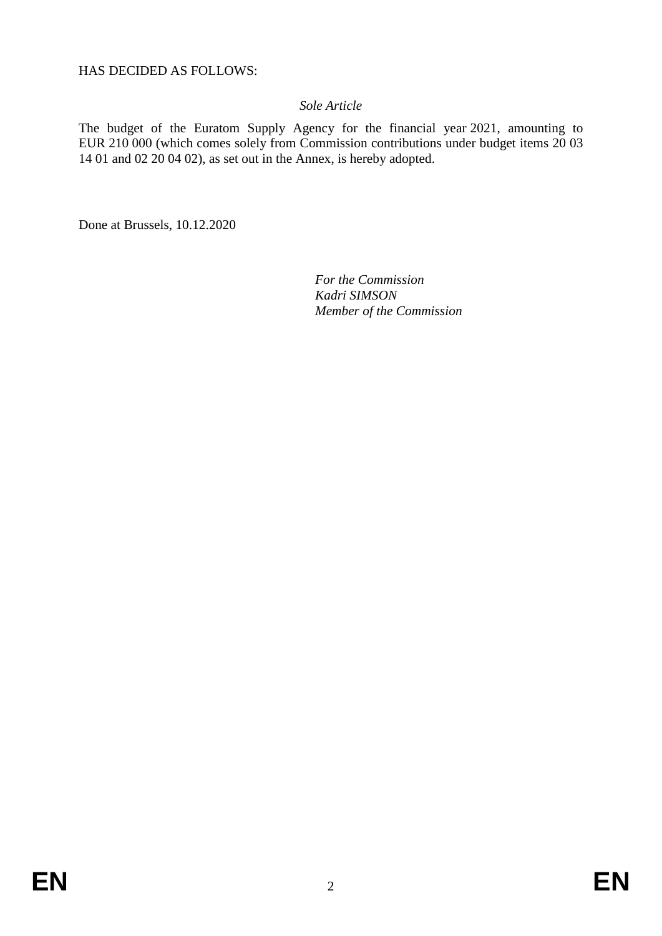HAS DECIDED AS FOLLOWS:

#### *Sole Article*

The budget of the Euratom Supply Agency for the financial year 2021, amounting to EUR 210 000 (which comes solely from Commission contributions under budget items 20 03 14 01 and 02 20 04 02), as set out in the Annex, is hereby adopted.

Done at Brussels, 10.12.2020

*For the Commission Kadri SIMSON Member of the Commission*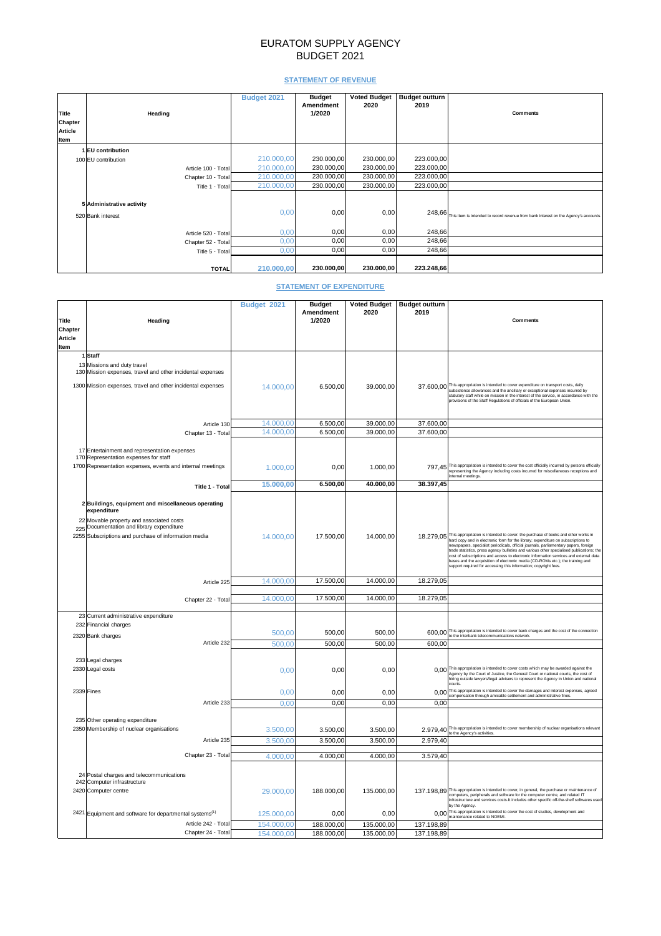# EURATOM SUPPLY AGENCY BUDGET 2021

## **STATEMENT OF REVENUE**

|                |                           | <b>Budget 2021</b> | <b>Budget</b><br><b>Amendment</b> | <b>Voted Budget</b><br>2020 | <b>Budget outturn</b><br>2019 |                                                                                      |
|----------------|---------------------------|--------------------|-----------------------------------|-----------------------------|-------------------------------|--------------------------------------------------------------------------------------|
| <b>Title</b>   | <b>Heading</b>            |                    | 1/2020                            |                             |                               | <b>Comments</b>                                                                      |
| <b>Chapter</b> |                           |                    |                                   |                             |                               |                                                                                      |
| <b>Article</b> |                           |                    |                                   |                             |                               |                                                                                      |
| <b>Item</b>    |                           |                    |                                   |                             |                               |                                                                                      |
|                | 1 EU contribution         |                    |                                   |                             |                               |                                                                                      |
|                | 100 EU contribution       | 210.000,00         | 230.000,00                        | 230.000,00                  | 223.000,00                    |                                                                                      |
|                | Article 100 - Total       | 210.000,00         | 230.000,00                        | 230.000,00                  | 223.000,00                    |                                                                                      |
|                | Chapter 10 - Total        | 210.000,00         | 230.000,00                        | 230.000,00                  | 223.000,00                    |                                                                                      |
|                | Title 1 - Total           | 210.000,00         | 230.000,00                        | 230.000,00                  | 223.000,00                    |                                                                                      |
|                |                           |                    |                                   |                             |                               |                                                                                      |
|                | 5 Administrative activity |                    |                                   |                             |                               |                                                                                      |
|                | 520 Bank interest         | 0,00               | 0,00                              | 0,00                        | 248,66                        | This item is intended to record revenue from bank interest on the Agency's accounts. |
|                |                           |                    |                                   |                             |                               |                                                                                      |
|                | Article 520 - Total       | 0,00               | 0,00                              | 0,00                        | 248,66                        |                                                                                      |
|                | Chapter 52 - Total        | 0,00               | 0,00                              | 0,00                        | 248,66                        |                                                                                      |
|                | Title 5 - Total           | 0,00               | 0,00                              | 0,00                        | 248,66                        |                                                                                      |
|                |                           |                    |                                   |                             |                               |                                                                                      |
|                | <b>TOTAL</b>              | 210.000,00         | 230.000,00                        | 230.000,00                  | 223.248,66                    |                                                                                      |

## **STATEMENT OF EXPENDITURE**

|                        |                                                                     | <b>Budget 2021</b> | <b>Budget</b>    | <b>Voted Budget</b> | <b>Budget outturn</b> |                                                                                                                                                                                        |
|------------------------|---------------------------------------------------------------------|--------------------|------------------|---------------------|-----------------------|----------------------------------------------------------------------------------------------------------------------------------------------------------------------------------------|
|                        |                                                                     |                    | <b>Amendment</b> | 2020                | 2019                  |                                                                                                                                                                                        |
| <b>Title</b>           | <b>Heading</b>                                                      |                    | 1/2020           |                     |                       | <b>Comments</b>                                                                                                                                                                        |
| <b>Chapter</b>         |                                                                     |                    |                  |                     |                       |                                                                                                                                                                                        |
| <b>Article</b><br>Item |                                                                     |                    |                  |                     |                       |                                                                                                                                                                                        |
|                        | 1 Staff                                                             |                    |                  |                     |                       |                                                                                                                                                                                        |
|                        | 13 Missions and duty travel                                         |                    |                  |                     |                       |                                                                                                                                                                                        |
|                        | 130 Mission expenses, travel and other incidental expenses          |                    |                  |                     |                       |                                                                                                                                                                                        |
|                        | 1300 Mission expenses, travel and other incidental expenses         |                    | 6.500,00         | 39.000,00           |                       | 37.600,00 This appropriation is intended to cover expenditure on transport costs, daily                                                                                                |
|                        |                                                                     | 14.000,00          |                  |                     |                       | subsistence allowances and the ancillary or exceptional expenses incurred by<br>statutory staff while on mission in the interest of the service, in accordance with the                |
|                        |                                                                     |                    |                  |                     |                       | provisions of the Staff Regulations of officials of the European Union.                                                                                                                |
|                        |                                                                     |                    |                  |                     |                       |                                                                                                                                                                                        |
|                        | Article 130                                                         | 14.000,00          | 6.500,00         | 39.000,00           | 37.600,00             |                                                                                                                                                                                        |
|                        | Chapter 13 - Total                                                  | 14.000,00          | 6.500,00         | 39.000,00           | 37.600,00             |                                                                                                                                                                                        |
|                        |                                                                     |                    |                  |                     |                       |                                                                                                                                                                                        |
|                        | 17 Entertainment and representation expenses                        |                    |                  |                     |                       |                                                                                                                                                                                        |
|                        | 170 Representation expenses for staff                               |                    |                  |                     |                       |                                                                                                                                                                                        |
|                        | 1700 Representation expenses, events and internal meetings          | 1.000,00           | 0,00             | 1.000,00            |                       | 797,45 This appropriation is intended to cover the cost officially incurred by persons officially<br>representing the Agency including costs incurred for miscellaneous receptions and |
|                        |                                                                     | 15.000,00          | 6.500,00         | 40.000,00           | 38.397,45             | internal meetings.                                                                                                                                                                     |
|                        | Title 1 - Total                                                     |                    |                  |                     |                       |                                                                                                                                                                                        |
|                        | 2 Buildings, equipment and miscellaneous operating                  |                    |                  |                     |                       |                                                                                                                                                                                        |
|                        | expenditure                                                         |                    |                  |                     |                       |                                                                                                                                                                                        |
|                        | 22 Movable property and associated costs                            |                    |                  |                     |                       |                                                                                                                                                                                        |
|                        | 225 Documentation and library expenditure                           |                    |                  |                     |                       |                                                                                                                                                                                        |
|                        | 2255 Subscriptions and purchase of information media                | 14.000,00          | 17.500,00        | 14.000,00           |                       | 18.279,05 This appropriation is intended to cover: the purchase of books and other works in<br>hard copy and in electronic form for the library; expenditure on subscriptions to       |
|                        |                                                                     |                    |                  |                     |                       | newspapers, specialist periodicals, official journals, parliamentary papers, foreign<br>trade statistics, press agency bulletins and various other specialised publications; the       |
|                        |                                                                     |                    |                  |                     |                       | cost of subscriptions and access to electronic information services and external data<br>bases and the acquisition of electronic media (CD-ROMs etc.); the training and                |
|                        |                                                                     |                    |                  |                     |                       | support required for accessing this information; copyright fees.                                                                                                                       |
|                        | Article 225                                                         | 14.000,00          | 17.500,00        | 14.000,00           | 18.279,05             |                                                                                                                                                                                        |
|                        |                                                                     |                    |                  |                     |                       |                                                                                                                                                                                        |
|                        | Chapter 22 - Total                                                  | 14.000,00          | 17.500,00        | 14.000,00           | 18.279,05             |                                                                                                                                                                                        |
|                        | 23 Current administrative expenditure                               |                    |                  |                     |                       |                                                                                                                                                                                        |
|                        | 232 Financial charges                                               |                    |                  |                     |                       |                                                                                                                                                                                        |
|                        |                                                                     | 500,00             | 500,00           | 500,00              |                       | 600,00 This appropriation is intended to cover bank charges and the cost of the connection<br>to the interbank telecommunications network.                                             |
|                        | 2320 Bank charges<br>Article 232                                    | 500,00             | 500,00           | 500,00              | 600,00                |                                                                                                                                                                                        |
|                        |                                                                     |                    |                  |                     |                       |                                                                                                                                                                                        |
|                        | 233 Legal charges                                                   |                    |                  |                     |                       |                                                                                                                                                                                        |
|                        | 2330 Legal costs                                                    | 0,00               | 0,00             | 0,00                |                       | 0,00 This appropriation is intended to cover costs which may be awarded against the<br>Agency by the Court of Justice, the General Court or national courts, the cost of               |
|                        |                                                                     |                    |                  |                     |                       | hiring outside lawyers/legal advisers to represent the Agency in Union and national<br>courts.                                                                                         |
|                        | 2339 Fines                                                          | 0,00               | 0,00             | 0,00                |                       | 0,00 This appropriation is intended to cover the damages and interest expenses, agreed<br>compensation through amicable settlement and administrative fines.                           |
|                        | Article 233                                                         | 0,00               | 0,00             | 0,00                | 0,00                  |                                                                                                                                                                                        |
|                        |                                                                     |                    |                  |                     |                       |                                                                                                                                                                                        |
|                        | 235 Other operating expenditure                                     |                    |                  |                     |                       |                                                                                                                                                                                        |
|                        | 2350 Membership of nuclear organisations                            | 3.500,00           | 3.500,00         | 3.500,00            |                       | 2.979,40 This appropriation is intended to cover membership of nuclear organisations relevant<br>to the Agency's activities.                                                           |
|                        | Article 235                                                         | 3.500,00           | 3.500,00         | 3.500,00            | 2.979,40              |                                                                                                                                                                                        |
|                        | Chapter 23 - Total                                                  | 4.000,00           | 4.000,00         | 4.000,00            | 3.579,40              |                                                                                                                                                                                        |
|                        |                                                                     |                    |                  |                     |                       |                                                                                                                                                                                        |
|                        | 24 Postal charges and telecommunications                            |                    |                  |                     |                       |                                                                                                                                                                                        |
|                        | 242 Computer infrastructure                                         |                    |                  |                     |                       |                                                                                                                                                                                        |
|                        | 2420 Computer centre                                                | 29.000,00          | 188.000,00       | 135.000,00          |                       | 137.198,89 This appropriation is intended to cover, in general, the purchase or maintenance of<br>computers, peripherals and software for the computer centre, and related IT          |
|                        |                                                                     |                    |                  |                     |                       | infrastructure and services costs. It includes other specific off-the-shelf softwares used<br>by the Agency.                                                                           |
|                        | 2421 Equipment and software for departmental systems <sup>(1)</sup> | 125.000,00         | 0,00             | 0,00                |                       | 0,00 This appropriation is intended to cover the cost of studies, development and                                                                                                      |
|                        | Article 242 - Total                                                 | 154.000,00         | 188.000,00       | 135.000,00          | 137.198,89            | maintenance related to NOEMI.                                                                                                                                                          |
|                        | Chapter 24 - Total                                                  | 154.000,00         | 188.000,00       | 135.000,00          | 137.198,89            |                                                                                                                                                                                        |